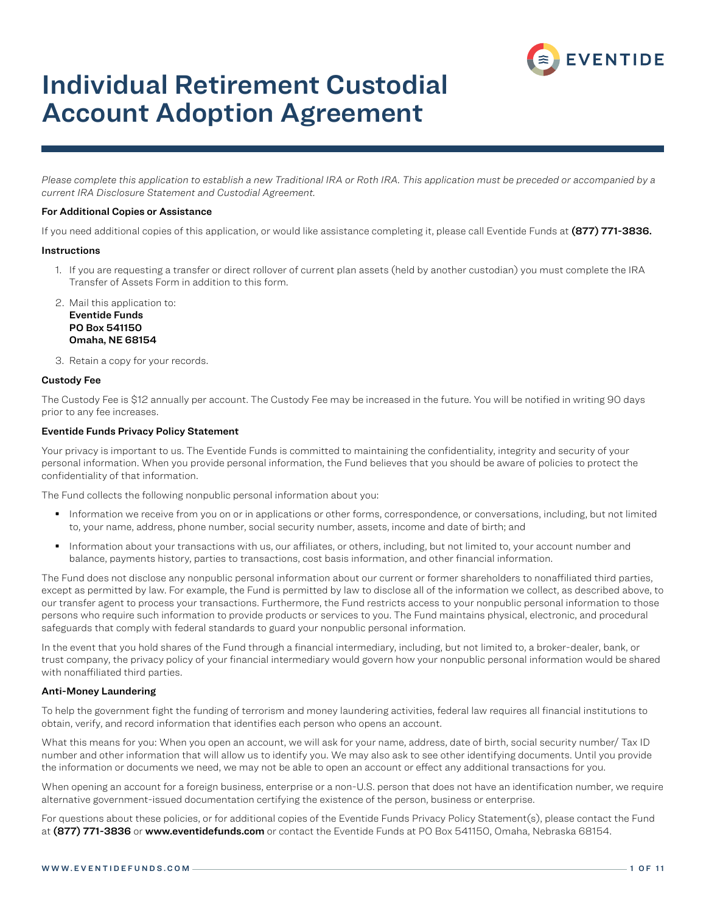

# Individual Retirement Custodial Account Adoption Agreement

*Please complete this application to establish a new Traditional IRA or Roth IRA. This application must be preceded or accompanied by a current IRA Disclosure Statement and Custodial Agreement.*

#### For Additional Copies or Assistance

If you need additional copies of this application, or would like assistance completing it, please call Eventide Funds at (877) 771-3836.

#### **Instructions**

1. If you are requesting a transfer or direct rollover of current plan assets (held by another custodian) you must complete the IRA Transfer of Assets Form in addition to this form.

2. Mail this application to: Eventide Funds PO Box 541150 Omaha, NE 68154

3. Retain a copy for your records.

#### Custody Fee

The Custody Fee is \$12 annually per account. The Custody Fee may be increased in the future. You will be notified in writing 90 days prior to any fee increases.

### Eventide Funds Privacy Policy Statement

Your privacy is important to us. The Eventide Funds is committed to maintaining the confidentiality, integrity and security of your personal information. When you provide personal information, the Fund believes that you should be aware of policies to protect the confidentiality of that information.

The Fund collects the following nonpublic personal information about you:

- **Information we receive from you on or in applications or other forms, correspondence, or conversations, including, but not limited** to, your name, address, phone number, social security number, assets, income and date of birth; and
- Information about your transactions with us, our affiliates, or others, including, but not limited to, your account number and balance, payments history, parties to transactions, cost basis information, and other financial information.

The Fund does not disclose any nonpublic personal information about our current or former shareholders to nonaffiliated third parties, except as permitted by law. For example, the Fund is permitted by law to disclose all of the information we collect, as described above, to our transfer agent to process your transactions. Furthermore, the Fund restricts access to your nonpublic personal information to those persons who require such information to provide products or services to you. The Fund maintains physical, electronic, and procedural safeguards that comply with federal standards to guard your nonpublic personal information.

In the event that you hold shares of the Fund through a financial intermediary, including, but not limited to, a broker-dealer, bank, or trust company, the privacy policy of your financial intermediary would govern how your nonpublic personal information would be shared with nonaffiliated third parties.

### Anti-Money Laundering

To help the government fight the funding of terrorism and money laundering activities, federal law requires all financial institutions to obtain, verify, and record information that identifies each person who opens an account.

What this means for you: When you open an account, we will ask for your name, address, date of birth, social security number/ Tax ID number and other information that will allow us to identify you. We may also ask to see other identifying documents. Until you provide the information or documents we need, we may not be able to open an account or effect any additional transactions for you.

When opening an account for a foreign business, enterprise or a non-U.S. person that does not have an identification number, we require alternative government-issued documentation certifying the existence of the person, business or enterprise.

For questions about these policies, or for additional copies of the Eventide Funds Privacy Policy Statement(s), please contact the Fund at (877) 771-3836 or www.eventidefunds.com or contact the Eventide Funds at PO Box 541150, Omaha, Nebraska 68154.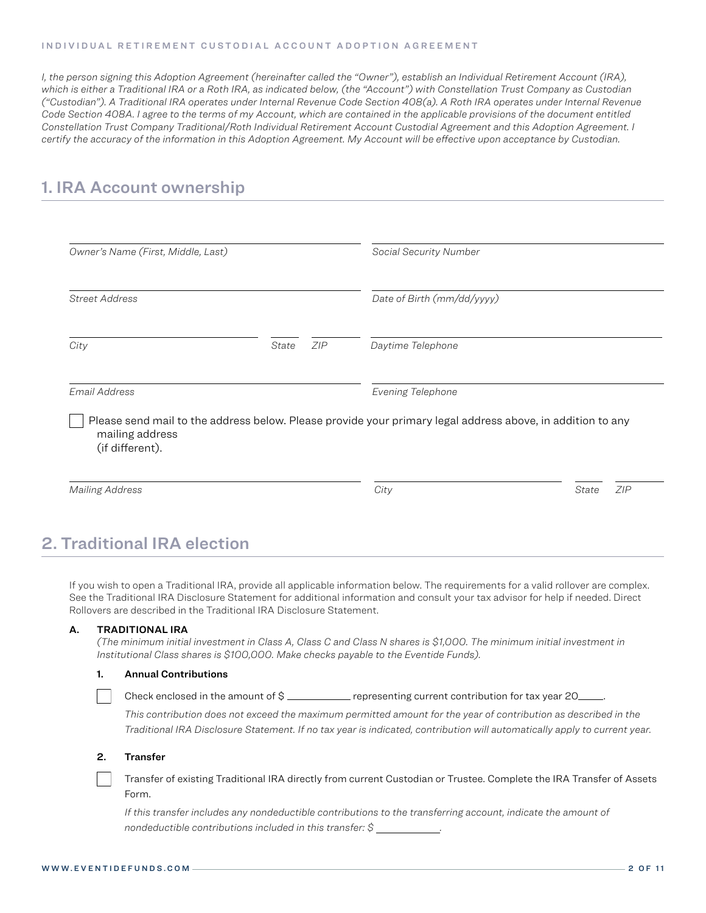#### INDIVIDUAL RETIREMENT CUSTODIAL ACCOUNT ADOPTION AGREEMENT

*I, the person signing this Adoption Agreement (hereinafter called the "Owner"), establish an Individual Retirement Account (IRA), which is either a Traditional IRA or a Roth IRA, as indicated below, (the "Account") with Constellation Trust Company as Custodian ("Custodian"). A Traditional IRA operates under Internal Revenue Code Section 408(a). A Roth IRA operates under Internal Revenue Code Section 408A. I agree to the terms of my Account, which are contained in the applicable provisions of the document entitled Constellation Trust Company Traditional/Roth Individual Retirement Account Custodial Agreement and this Adoption Agreement. I certify the accuracy of the information in this Adoption Agreement. My Account will be effective upon acceptance by Custodian.*

## 1. IRA Account ownership

| Owner's Name (First, Middle, Last) |       | Social Security Number |                                                                                                            |  |  |
|------------------------------------|-------|------------------------|------------------------------------------------------------------------------------------------------------|--|--|
| <b>Street Address</b>              |       |                        | Date of Birth (mm/dd/yyyy)                                                                                 |  |  |
| City                               | State | ZIP                    | Daytime Telephone                                                                                          |  |  |
| Email Address                      |       |                        | Evening Telephone                                                                                          |  |  |
|                                    |       |                        | Please send mail to the address below. Please provide your primary legal address above, in addition to any |  |  |
| mailing address<br>(if different). |       |                        |                                                                                                            |  |  |

# 2. Traditional IRA election

If you wish to open a Traditional IRA, provide all applicable information below. The requirements for a valid rollover are complex. See the Traditional IRA Disclosure Statement for additional information and consult your tax advisor for help if needed. Direct Rollovers are described in the Traditional IRA Disclosure Statement.

### A. TRADITIONAL IRA

*(The minimum initial investment in Class A, Class C and Class N shares is \$1,000. The minimum initial investment in Institutional Class shares is \$100,000. Make checks payable to the Eventide Funds).*

#### 1. Annual Contributions

Check enclosed in the amount of \$ \_\_\_\_\_\_\_\_\_\_\_ representing current contribution for tax year 20 \_\_

*This contribution does not exceed the maximum permitted amount for the year of contribution as described in the Traditional IRA Disclosure Statement. If no tax year is indicated, contribution will automatically apply to current year.*

#### 2. Transfer

 Transfer of existing Traditional IRA directly from current Custodian or Trustee. Complete the IRA Transfer of Assets Form.

*If this transfer includes any nondeductible contributions to the transferring account, indicate the amount of nondeductible contributions included in this transfer: \$ .*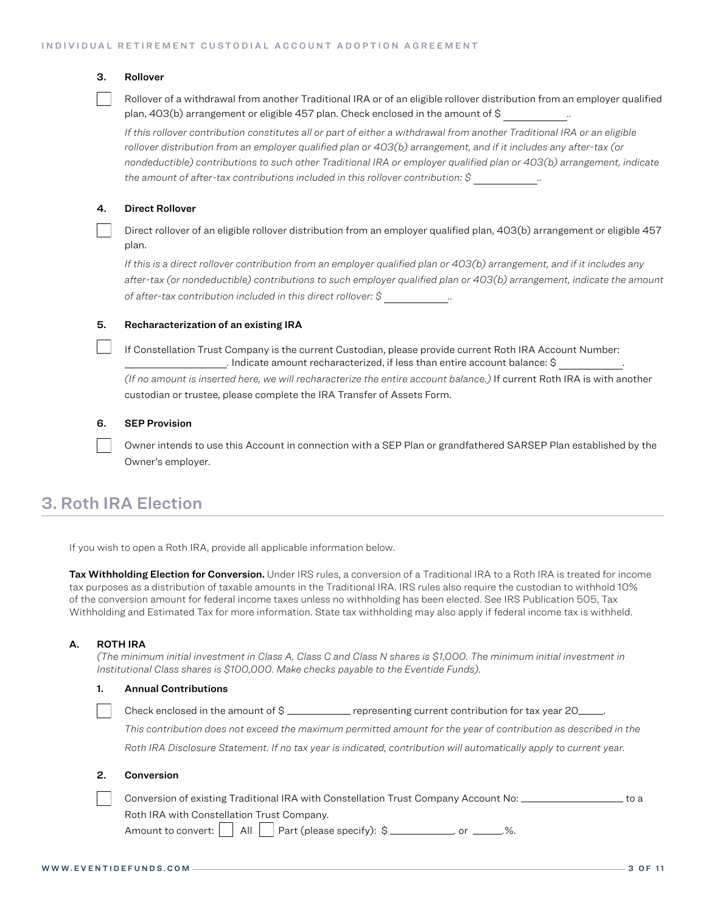### 3. Rollover

 Rollover of a withdrawal from another Traditional IRA or of an eligible rollover distribution from an employer qualified plan, 403(b) arrangement or eligible 457 plan. Check enclosed in the amount of \$ *..*

*If this rollover contribution constitutes all or part of either a withdrawal from another Traditional IRA or an eligible rollover distribution from an employer qualified plan or 403(b) arrangement, and if it includes any after-tax (or nondeductible) contributions to such other Traditional IRA or employer qualified plan or 403(b) arrangement, indicate the amount of after-tax contributions included in this rollover contribution: \$ ..*

### 4. Direct Rollover

 Direct rollover of an eligible rollover distribution from an employer qualified plan, 403(b) arrangement or eligible 457 plan.

*If this is a direct rollover contribution from an employer qualified plan or 403(b) arrangement, and if it includes any after-tax (or nondeductible) contributions to such employer qualified plan or 403(b) arrangement, indicate the amount of after-tax contribution included in this direct rollover: \$ ..*

#### 5. Recharacterization of an existing IRA

 If Constellation Trust Company is the current Custodian, please provide current Roth IRA Account Number: *.* Indicate amount recharacterized, if less than entire account balance: \$ . *(If no amount is inserted here, we will recharacterize the entire account balance.)* If current Roth IRA is with another custodian or trustee, please complete the IRA Transfer of Assets Form.

#### 6. SEP Provision

 Owner intends to use this Account in connection with a SEP Plan or grandfathered SARSEP Plan established by the Owner's employer.

### 3. Roth IRA Election

If you wish to open a Roth IRA, provide all applicable information below.

**Tax Withholding Election for Conversion.** Under IRS rules, a conversion of a Traditional IRA to a Roth IRA is treated for income tax purposes as a distribution of taxable amounts in the Traditional IRA. IRS rules also require the custodian to withhold 10% of the conversion amount for federal income taxes unless no withholding has been elected. See IRS Publication 505, Tax Withholding and Estimated Tax for more information. State tax withholding may also apply if federal income tax is withheld.

#### A. ROTH IRA

*(The minimum initial investment in Class A, Class C and Class N shares is \$1,000. The minimum initial investment in Institutional Class shares is \$100,000. Make checks payable to the Eventide Funds).*

### 1. Annual Contributions

| Check enclosed in the amount of \$<br>representing current contribution for tax year 20_____. |  |
|-----------------------------------------------------------------------------------------------|--|
|-----------------------------------------------------------------------------------------------|--|

*This contribution does not exceed the maximum permitted amount for the year of contribution as described in the* 

*Roth IRA Disclosure Statement. If no tax year is indicated, contribution will automatically apply to current year.*

#### 2. Conversion

| Conversion of existing Traditional IRA with Constellation Trust Company Account No: $\perp$ | to a |
|---------------------------------------------------------------------------------------------|------|
| Roth IRA with Constellation Trust Company.                                                  |      |
|                                                                                             |      |

Amount to convert:  $\Box$  All  $\Box$  Part (please specify): \$  $\Box$  or  $\Box$  %.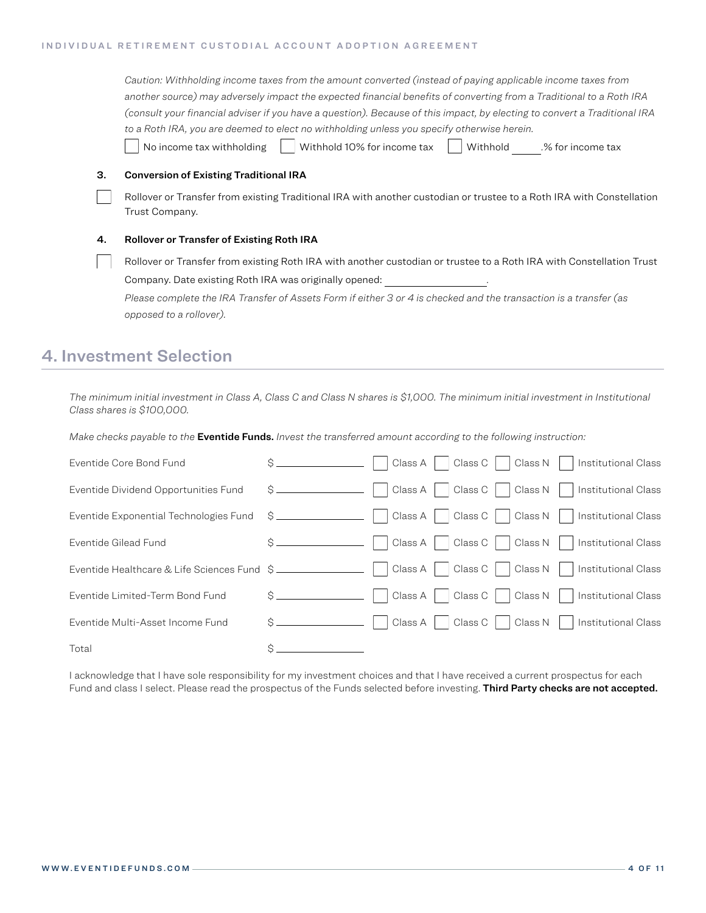#### INDIVIDUAL RETIREMENT CUSTODIAL ACCOUNT ADOPTION AGREEMENT

|    | Caution: Withholding income taxes from the amount converted (instead of paying applicable income taxes from               |  |  |  |
|----|---------------------------------------------------------------------------------------------------------------------------|--|--|--|
|    | another source) may adversely impact the expected financial benefits of converting from a Traditional to a Roth IRA       |  |  |  |
|    | (consult your financial adviser if you have a question). Because of this impact, by electing to convert a Traditional IRA |  |  |  |
|    | to a Roth IRA, you are deemed to elect no withholding unless you specify otherwise herein.                                |  |  |  |
|    | No income tax withholding<br>Withhold 10% for income tax<br>Withhold<br>.% for income tax                                 |  |  |  |
| З. | <b>Conversion of Existing Traditional IRA</b>                                                                             |  |  |  |
|    | Rollover or Transfer from existing Traditional IRA with another custodian or trustee to a Roth IRA with Constellation     |  |  |  |
|    | Trust Company.                                                                                                            |  |  |  |
| 4. | <b>Rollover or Transfer of Existing Roth IRA</b>                                                                          |  |  |  |
|    | Rollover or Transfer from existing Roth IRA with another custodian or trustee to a Roth IRA with Constellation Trust      |  |  |  |
|    | Company. Date existing Roth IRA was originally opened:                                                                    |  |  |  |
|    | Please complete the IRA Transfer of Assets Form if either 3 or 4 is checked and the transaction is a transfer (as         |  |  |  |
|    | opposed to a rollover).                                                                                                   |  |  |  |

# 4. Investment Selection

*The minimum initial investment in Class A, Class C and Class N shares is \$1,000. The minimum initial investment in Institutional Class shares is \$100,000.*

*Make checks payable to the* Eventide Funds. *Invest the transferred amount according to the following instruction:*

| Eventide Core Bond Fund                     |               | Class C   Class N  <br>Class $A$<br>Institutional Class    |
|---------------------------------------------|---------------|------------------------------------------------------------|
| Eventide Dividend Opportunities Fund        |               | Class C     Class N<br>Class A<br>Institutional Class      |
| Eventide Exponential Technologies Fund \$   |               | Class A     Class C     Class N    <br>Institutional Class |
| Eventide Gilead Fund                        | $\sin \theta$ | Class A     Class C     Class N    <br>Institutional Class |
| Eventide Healthcare & Life Sciences Fund \$ |               | Class C     Class N     Institutional Class<br>  Class A   |
| Eventide Limited-Term Bond Fund             |               | Class C     Class N  <br>Class A<br>Institutional Class    |
| Eventide Multi-Asset Income Fund            |               | Class C     Class N  <br>Class A<br>Institutional Class    |
| Total                                       |               |                                                            |

I acknowledge that I have sole responsibility for my investment choices and that I have received a current prospectus for each Fund and class I select. Please read the prospectus of the Funds selected before investing. Third Party checks are not accepted.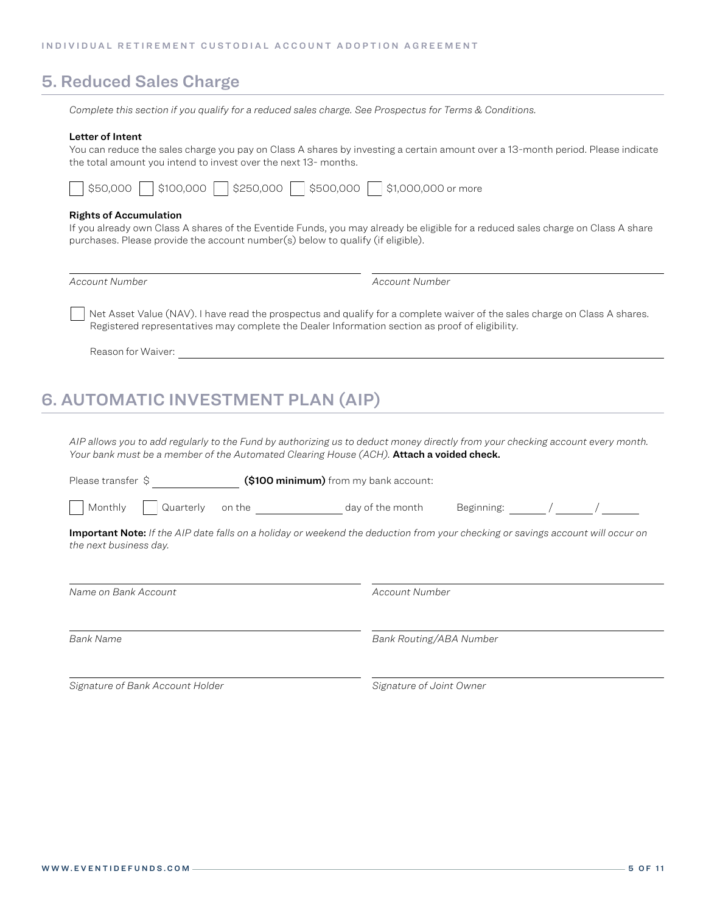### 5. Reduced Sales Charge

*Complete this section if you qualify for a reduced sales charge. See Prospectus for Terms & Conditions.*

#### Letter of Intent

You can reduce the sales charge you pay on Class A shares by investing a certain amount over a 13-month period. Please indicate the total amount you intend to invest over the next 13- months.

| \$50,000<br>  \$500,000<br> \$250,000<br>\$1,000,000 or more<br>  \$100,000 |
|-----------------------------------------------------------------------------|
|-----------------------------------------------------------------------------|

### Rights of Accumulation

If you already own Class A shares of the Eventide Funds, you may already be eligible for a reduced sales charge on Class A share purchases. Please provide the account number(s) below to qualify (if eligible).

*Account Number Account Number*

 Net Asset Value (NAV). I have read the prospectus and qualify for a complete waiver of the sales charge on Class A shares. Registered representatives may complete the Dealer Information section as proof of eligibility.

Reason for Waiver:

# 6. AUTOMATIC INVESTMENT PLAN (AIP)

*AIP allows you to add regularly to the Fund by authorizing us to deduct money directly from your checking account every month.*  Your bank must be a member of the Automated Clearing House (ACH). **Attach a voided check.** 

| Please transfer \$             | (\$100 minimum) from my bank account: |                                                                                                                                 |
|--------------------------------|---------------------------------------|---------------------------------------------------------------------------------------------------------------------------------|
| Monthly<br>Quarterly<br>on the | day of the month                      | Beginning:                                                                                                                      |
| the next business day.         |                                       | Important Note: If the AIP date falls on a holiday or weekend the deduction from your checking or savings account will occur on |
| Name on Bank Account           | Account Number                        |                                                                                                                                 |
| <b>Bank Name</b>               | Bank Routing/ABA Number               |                                                                                                                                 |

*Signature of Bank Account Holder Signature of Joint Owner*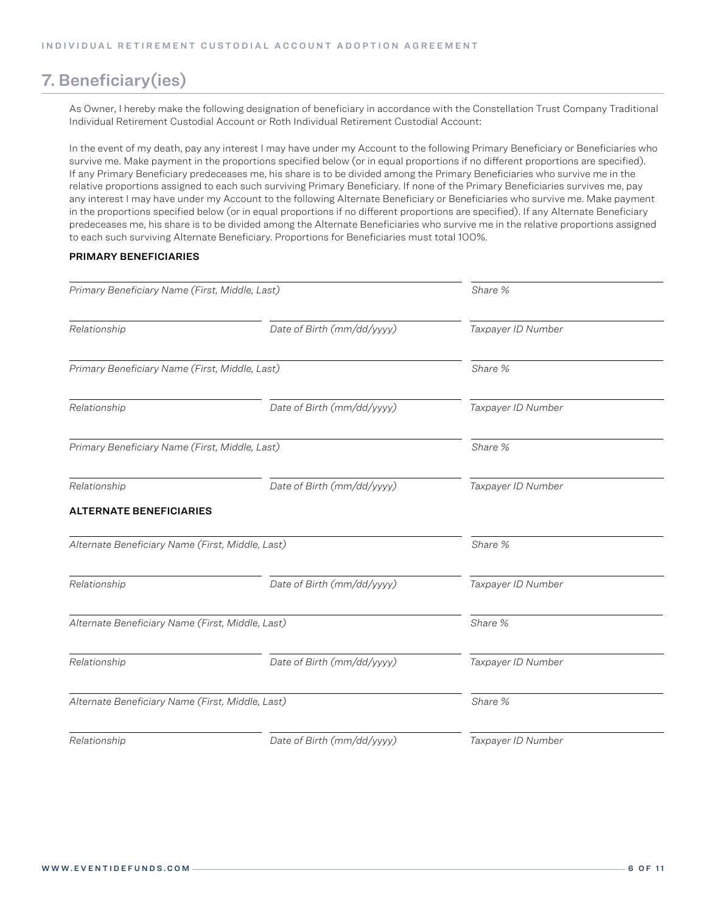# 7. Beneficiary(ies)

As Owner, I hereby make the following designation of beneficiary in accordance with the Constellation Trust Company Traditional Individual Retirement Custodial Account or Roth Individual Retirement Custodial Account:

In the event of my death, pay any interest I may have under my Account to the following Primary Beneficiary or Beneficiaries who survive me. Make payment in the proportions specified below (or in equal proportions if no different proportions are specified). If any Primary Beneficiary predeceases me, his share is to be divided among the Primary Beneficiaries who survive me in the relative proportions assigned to each such surviving Primary Beneficiary. If none of the Primary Beneficiaries survives me, pay any interest I may have under my Account to the following Alternate Beneficiary or Beneficiaries who survive me. Make payment in the proportions specified below (or in equal proportions if no different proportions are specified). If any Alternate Beneficiary predeceases me, his share is to be divided among the Alternate Beneficiaries who survive me in the relative proportions assigned to each such surviving Alternate Beneficiary. Proportions for Beneficiaries must total 100%.

### PRIMARY BENEFICIARIES

| Primary Beneficiary Name (First, Middle, Last)   |                            | Share %            |  |
|--------------------------------------------------|----------------------------|--------------------|--|
| Relationship                                     | Date of Birth (mm/dd/yyyy) | Taxpayer ID Number |  |
| Primary Beneficiary Name (First, Middle, Last)   |                            | Share %            |  |
| Date of Birth (mm/dd/yyyy)<br>Relationship       |                            | Taxpayer ID Number |  |
| Primary Beneficiary Name (First, Middle, Last)   |                            | Share %            |  |
| Relationship<br>Date of Birth (mm/dd/yyyy)       |                            | Taxpayer ID Number |  |
| <b>ALTERNATE BENEFICIARIES</b>                   |                            |                    |  |
| Alternate Beneficiary Name (First, Middle, Last) |                            | Share %            |  |
| Relationship                                     | Date of Birth (mm/dd/yyyy) | Taxpayer ID Number |  |
| Alternate Beneficiary Name (First, Middle, Last) |                            | Share %            |  |
| Date of Birth (mm/dd/yyyy)<br>Relationship       |                            | Taxpayer ID Number |  |
| Alternate Beneficiary Name (First, Middle, Last) |                            | Share %            |  |
| Relationship                                     | Date of Birth (mm/dd/yyyy) | Taxpayer ID Number |  |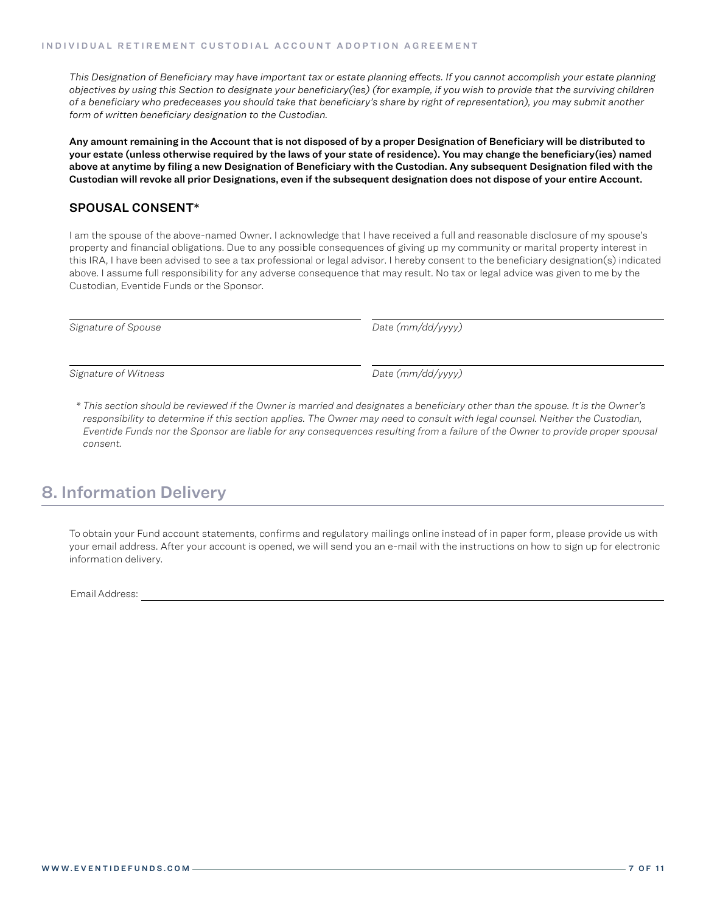*This Designation of Beneficiary may have important tax or estate planning effects. If you cannot accomplish your estate planning objectives by using this Section to designate your beneficiary(ies) (for example, if you wish to provide that the surviving children of a beneficiary who predeceases you should take that beneficiary's share by right of representation), you may submit another form of written beneficiary designation to the Custodian.*

Any amount remaining in the Account that is not disposed of by a proper Designation of Beneficiary will be distributed to your estate (unless otherwise required by the laws of your state of residence). You may change the beneficiary(ies) named above at anytime by filing a new Designation of Beneficiary with the Custodian. Any subsequent Designation filed with the Custodian will revoke all prior Designations, even if the subsequent designation does not dispose of your entire Account.

### SPOUSAL CONSENT\*

I am the spouse of the above-named Owner. I acknowledge that I have received a full and reasonable disclosure of my spouse's property and financial obligations. Due to any possible consequences of giving up my community or marital property interest in this IRA, I have been advised to see a tax professional or legal advisor. I hereby consent to the beneficiary designation(s) indicated above. I assume full responsibility for any adverse consequence that may result. No tax or legal advice was given to me by the Custodian, Eventide Funds or the Sponsor.

*Signature of Spouse Date (mm/dd/yyyy)*

*Signature of Witness Date (mm/dd/yyyy)*

*\* This section should be reviewed if the Owner is married and designates a beneficiary other than the spouse. It is the Owner's responsibility to determine if this section applies. The Owner may need to consult with legal counsel. Neither the Custodian, Eventide Funds nor the Sponsor are liable for any consequences resulting from a failure of the Owner to provide proper spousal consent.*

### 8. Information Delivery

To obtain your Fund account statements, confirms and regulatory mailings online instead of in paper form, please provide us with your email address. After your account is opened, we will send you an e-mail with the instructions on how to sign up for electronic information delivery.

Email Address: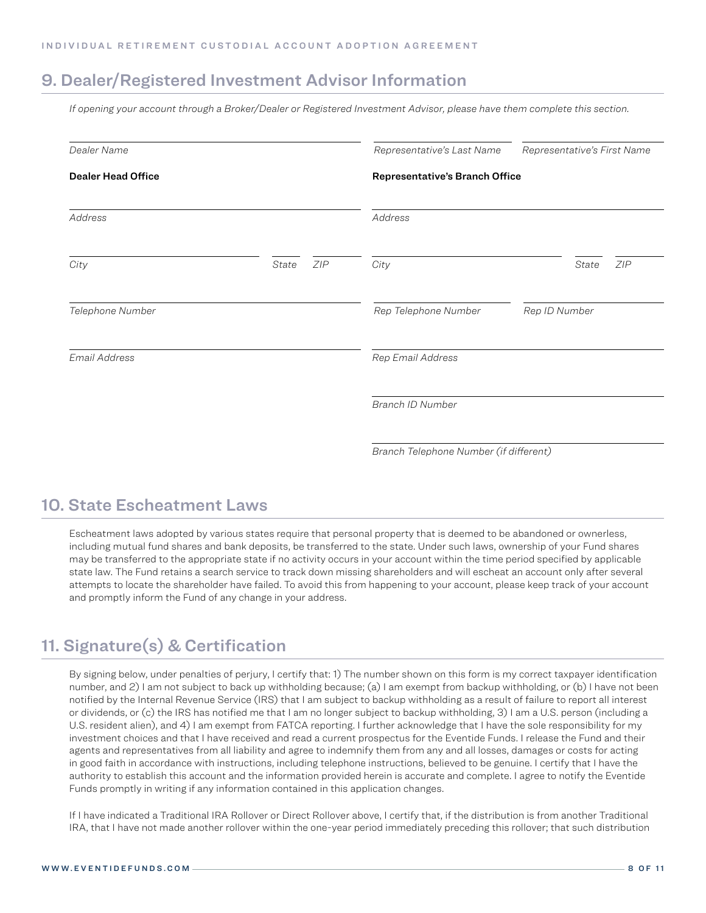### 9. Dealer/Registered Investment Advisor Information

*If opening your account through a Broker/Dealer or Registered Investment Advisor, please have them complete this section.*

| Dealer Name               |       |     | Representative's Last Name             | Representative's First Name |
|---------------------------|-------|-----|----------------------------------------|-----------------------------|
| <b>Dealer Head Office</b> |       |     | Representative's Branch Office         |                             |
| Address                   |       |     | Address                                |                             |
| City                      | State | ZIP | City                                   | State<br>ZIP                |
| Telephone Number          |       |     | Rep Telephone Number                   | Rep ID Number               |
| Email Address             |       |     | Rep Email Address                      |                             |
|                           |       |     | Branch ID Number                       |                             |
|                           |       |     | Branch Telephone Number (if different) |                             |

### 10. State Escheatment Laws

Escheatment laws adopted by various states require that personal property that is deemed to be abandoned or ownerless, including mutual fund shares and bank deposits, be transferred to the state. Under such laws, ownership of your Fund shares may be transferred to the appropriate state if no activity occurs in your account within the time period specified by applicable state law. The Fund retains a search service to track down missing shareholders and will escheat an account only after several attempts to locate the shareholder have failed. To avoid this from happening to your account, please keep track of your account and promptly inform the Fund of any change in your address.

# 11. Signature(s) & Certification

By signing below, under penalties of perjury, I certify that: 1) The number shown on this form is my correct taxpayer identification number, and 2) I am not subject to back up withholding because; (a) I am exempt from backup withholding, or (b) I have not been notified by the Internal Revenue Service (IRS) that I am subject to backup withholding as a result of failure to report all interest or dividends, or (c) the IRS has notified me that I am no longer subject to backup withholding, 3) I am a U.S. person (including a U.S. resident alien), and 4) I am exempt from FATCA reporting. I further acknowledge that I have the sole responsibility for my investment choices and that I have received and read a current prospectus for the Eventide Funds. I release the Fund and their agents and representatives from all liability and agree to indemnify them from any and all losses, damages or costs for acting in good faith in accordance with instructions, including telephone instructions, believed to be genuine. I certify that I have the authority to establish this account and the information provided herein is accurate and complete. I agree to notify the Eventide Funds promptly in writing if any information contained in this application changes.

If I have indicated a Traditional IRA Rollover or Direct Rollover above, I certify that, if the distribution is from another Traditional IRA, that I have not made another rollover within the one-year period immediately preceding this rollover; that such distribution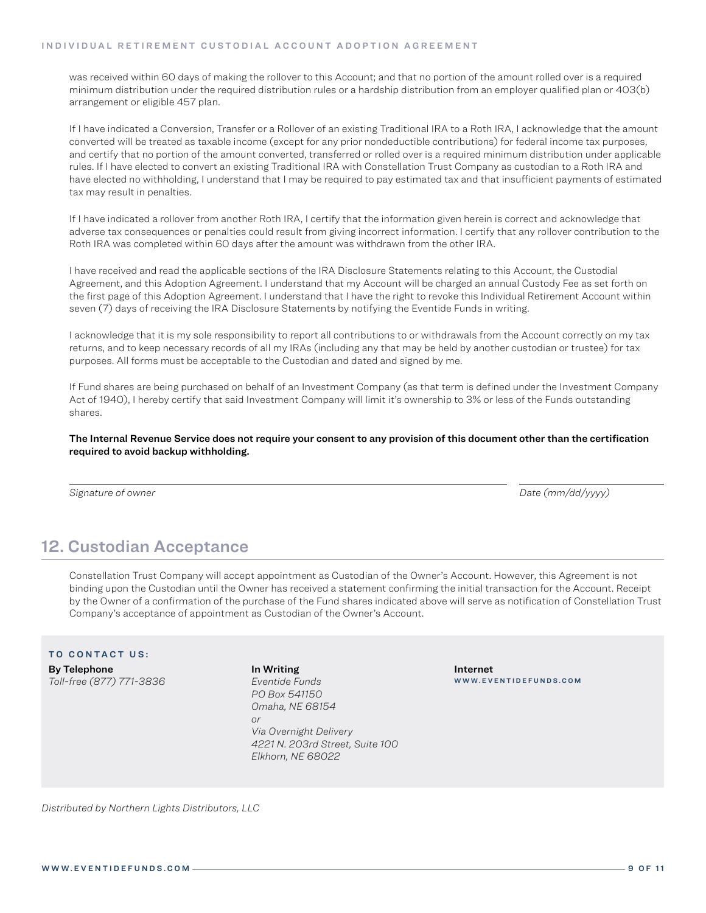was received within 60 days of making the rollover to this Account; and that no portion of the amount rolled over is a required minimum distribution under the required distribution rules or a hardship distribution from an employer qualified plan or 403(b) arrangement or eligible 457 plan.

If I have indicated a Conversion, Transfer or a Rollover of an existing Traditional IRA to a Roth IRA, I acknowledge that the amount converted will be treated as taxable income (except for any prior nondeductible contributions) for federal income tax purposes, and certify that no portion of the amount converted, transferred or rolled over is a required minimum distribution under applicable rules. If I have elected to convert an existing Traditional IRA with Constellation Trust Company as custodian to a Roth IRA and have elected no withholding, I understand that I may be required to pay estimated tax and that insufficient payments of estimated tax may result in penalties.

If I have indicated a rollover from another Roth IRA, I certify that the information given herein is correct and acknowledge that adverse tax consequences or penalties could result from giving incorrect information. I certify that any rollover contribution to the Roth IRA was completed within 60 days after the amount was withdrawn from the other IRA.

I have received and read the applicable sections of the IRA Disclosure Statements relating to this Account, the Custodial Agreement, and this Adoption Agreement. I understand that my Account will be charged an annual Custody Fee as set forth on the first page of this Adoption Agreement. I understand that I have the right to revoke this Individual Retirement Account within seven (7) days of receiving the IRA Disclosure Statements by notifying the Eventide Funds in writing.

I acknowledge that it is my sole responsibility to report all contributions to or withdrawals from the Account correctly on my tax returns, and to keep necessary records of all my IRAs (including any that may be held by another custodian or trustee) for tax purposes. All forms must be acceptable to the Custodian and dated and signed by me.

If Fund shares are being purchased on behalf of an Investment Company (as that term is defined under the Investment Company Act of 1940), I hereby certify that said Investment Company will limit it's ownership to 3% or less of the Funds outstanding shares.

The Internal Revenue Service does not require your consent to any provision of this document other than the certification required to avoid backup withholding.

*Signature of owner Date (mm/dd/yyyy)*

# 12. Custodian Acceptance

Constellation Trust Company will accept appointment as Custodian of the Owner's Account. However, this Agreement is not binding upon the Custodian until the Owner has received a statement confirming the initial transaction for the Account. Receipt by the Owner of a confirmation of the purchase of the Fund shares indicated above will serve as notification of Constellation Trust Company's acceptance of appointment as Custodian of the Owner's Account.

### TO CONTACT US:

By Telephone *Toll-free (877) 771-3836* In Writing *Eventide Funds PO Box 541150 Omaha, NE 68154 or Via Overnight Delivery 4221 N. 203rd Street, Suite 100 Elkhorn, NE 68022*

Internet WWW.EVENTIDEFUNDS.COM

*Distributed by Northern Lights Distributors, LLC*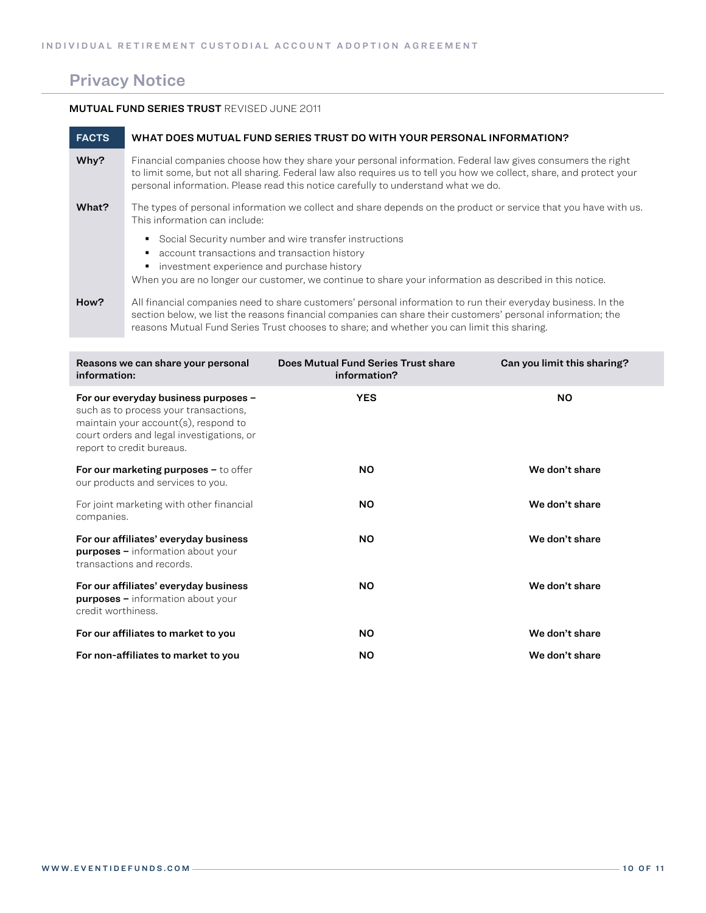# Privacy Notice

### MUTUAL FUND SERIES TRUST REVISED JUNE 2011

| <b>FACTS</b> | WHAT DOES MUTUAL FUND SERIES TRUST DO WITH YOUR PERSONAL INFORMATION?                                                                                                                                                                                                                                                     |
|--------------|---------------------------------------------------------------------------------------------------------------------------------------------------------------------------------------------------------------------------------------------------------------------------------------------------------------------------|
| Why?         | Financial companies choose how they share your personal information. Federal law gives consumers the right<br>to limit some, but not all sharing. Federal law also requires us to tell you how we collect, share, and protect your<br>personal information. Please read this notice carefully to understand what we do.   |
| What?        | The types of personal information we collect and share depends on the product or service that you have with us.<br>This information can include:                                                                                                                                                                          |
|              | Social Security number and wire transfer instructions<br>account transactions and transaction history<br>investment experience and purchase history<br>When you are no longer our customer, we continue to share your information as described in this notice.                                                            |
| How?         | All financial companies need to share customers' personal information to run their everyday business. In the<br>section below, we list the reasons financial companies can share their customers' personal information; the<br>reasons Mutual Fund Series Trust chooses to share; and whether you can limit this sharing. |

| Reasons we can share your personal<br>information:                                                                                                                                                 | Does Mutual Fund Series Trust share<br>information? | Can you limit this sharing? |
|----------------------------------------------------------------------------------------------------------------------------------------------------------------------------------------------------|-----------------------------------------------------|-----------------------------|
| For our everyday business purposes -<br>such as to process your transactions,<br>maintain your $account(s)$ , respond to<br>court orders and legal investigations, or<br>report to credit bureaus. | <b>YES</b>                                          | <b>NO</b>                   |
| For our marketing purposes - to offer<br>our products and services to you.                                                                                                                         | <b>NO</b>                                           | We don't share              |
| For joint marketing with other financial<br>companies.                                                                                                                                             | <b>NO</b>                                           | We don't share              |
| For our affiliates' everyday business<br><b>purposes</b> - information about your<br>transactions and records.                                                                                     | <b>NO</b>                                           | We don't share              |
| For our affiliates' everyday business<br><b>purposes</b> - information about your<br>credit worthiness.                                                                                            | <b>NO</b>                                           | We don't share              |
| For our affiliates to market to you                                                                                                                                                                | <b>NO</b>                                           | We don't share              |
| For non-affiliates to market to you                                                                                                                                                                | <b>NO</b>                                           | We don't share              |